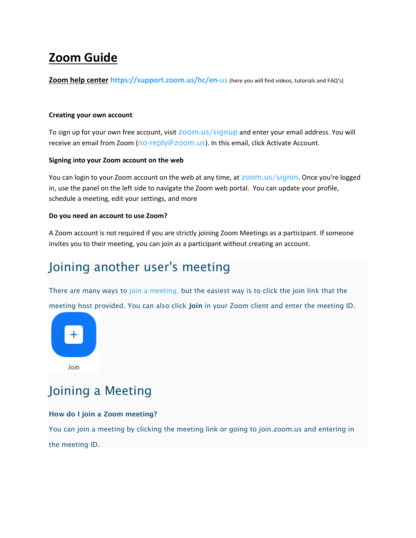# **Zoom Guide**

**Zoom help center [https://support.zoom.us/hc/en-](https://support.zoom.us/hc/en-us)**us (here you will find videos, tutorials and FAQ's)

#### **Creating your own account**

To sign up for your own free account, visit [zoom.us/signup](https://support.zoom.us/hc/en-us/articles/zoom.us/signup) and enter your email address. You will receive an email from Zoom ([no-reply@zoom.us](mailto:no-reply@zoom.us)). In this email, click Activate Account.

#### **Signing into your Zoom account on the web**

You can login to your Zoom account on the web at any time, at **ZOOM.us/signin.** Once you're logged in, use the panel on the left side to navigate the Zoom web portal. You can update your profile, schedule a meeting, edit your settings, and more

#### **Do you need an account to use Zoom?**

A Zoom account is not required if you are strictly joining Zoom Meetings as a participant. If someone invites you to their meeting, you can join as a participant without creating an account.

# Joining another user's meeting

There are many ways to [join a meeting,](https://support.zoom.us/hc/en-us/articles/201362193) but the easiest way is to click the join link that the

meeting host provided. You can also click **Join** in your Zoom client and enter the meeting ID.



## Joining a Meeting

#### **How do I join a Zoom meeting?**

You can join a meeting by clicking the meeting link or going to join.zoom.us and entering in the meeting ID.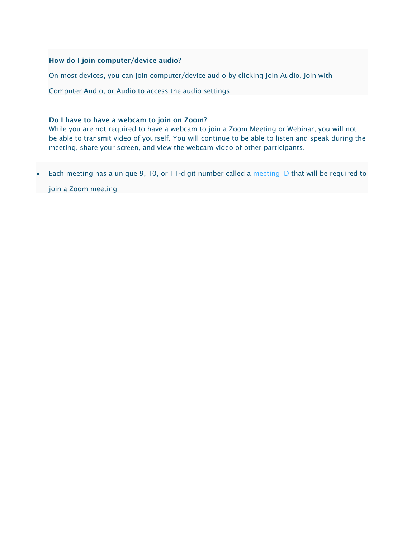#### **How do I join computer/device audio?**

On most devices, you can join computer/device audio by clicking Join Audio, Join with

Computer Audio, or Audio to access the audio settings

#### **Do I have to have a webcam to join on Zoom?**

While you are not required to have a webcam to join a Zoom Meeting or Webinar, you will not be able to transmit video of yourself. You will continue to be able to listen and speak during the meeting, share your screen, and view the webcam video of other participants.

Each meeting has a unique 9, 10, or 11-digit number called a [meeting ID](https://support.zoom.us/hc/en-us/articles/201362373-What-is-a-Meeting-ID-) that will be required to

join a Zoom meeting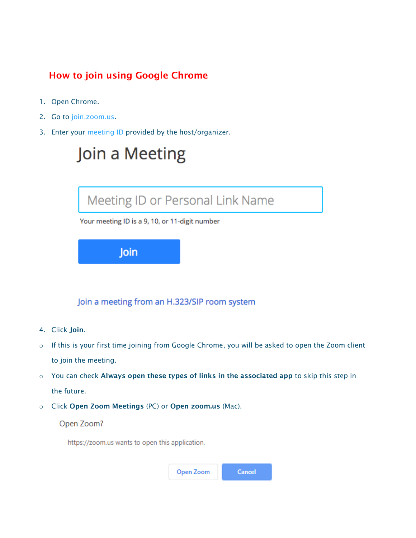### **How to join using Google Chrome**

- 1. Open Chrome.
- 2. Go to [join.zoom.us.](https://join.zoom.us/)
- 3. Enter your [meeting](https://support.zoom.us/hc/en-us/articles/201362373-What-is-a-Meeting-ID-) ID provided by the host/organizer.



Join a meeting from an H.323/SIP room system

- 4. Click **Join**.
- o If this is your first time joining from Google Chrome, you will be asked to open the Zoom client to join the meeting.
- o You can check **Always open these types of links in the associated app** to skip this step in the future.
- o Click **Open Zoom Meetings** (PC) or **Open zoom.us** (Mac).

#### Open Zoom?

https://zoom.us wants to open this application.

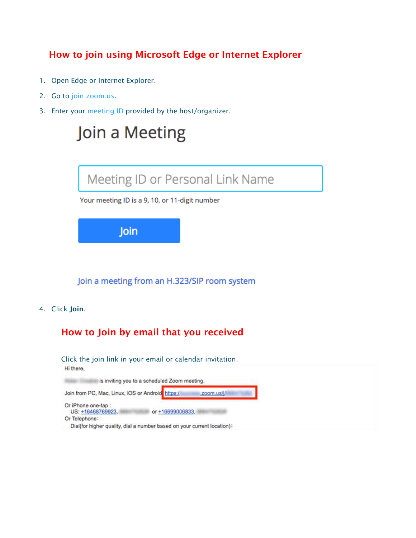### **How to join using Microsoft Edge or Internet Explorer**

- 1. Open Edge or Internet Explorer.
- 2. Go to [join.zoom.us.](https://join.zoom.us/)
- 3. Enter your [meeting](https://support.zoom.us/hc/en-us/articles/201362373-What-is-a-Meeting-ID-) ID provided by the host/organizer.

# Join a Meeting



Your meeting ID is a 9, 10, or 11-digit number

Join

Join a meeting from an H.323/SIP room system

4. Click **Join**.

### **How to Join by email that you received**